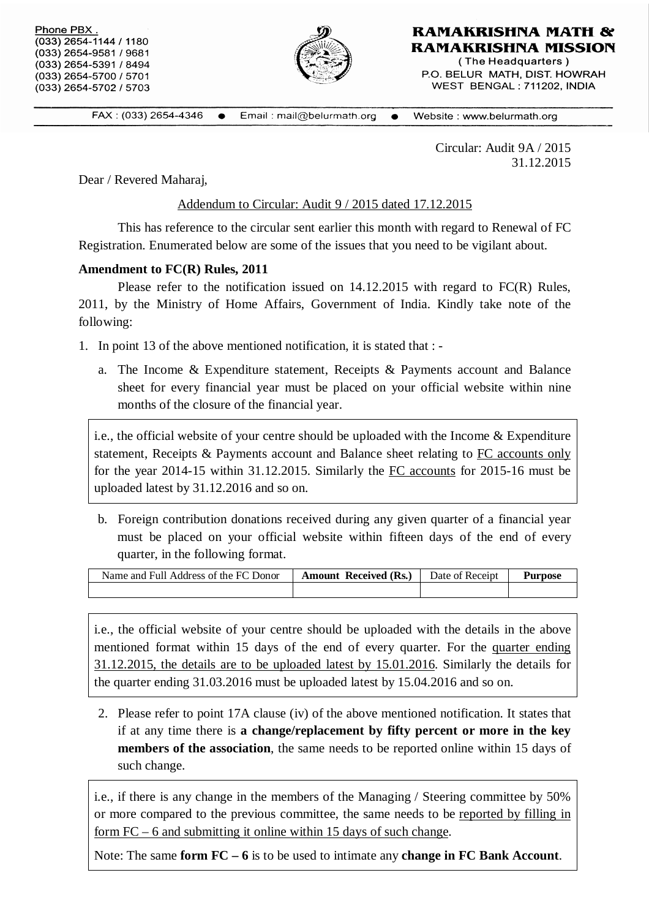| Phone PBX.<br>$(033)$ 2654-1144 / 1180<br>(033) 2654-9581 / 9681<br>(033) 2654-5391 / 8494<br>(033) 2654-5700 / 5701 | RAMAKRISHNA MATH &<br><b>RAMAKRISHNA MISSION</b><br>(The Headquarters)<br>P.O. BELUR MATH, DIST. HOWRAH |
|----------------------------------------------------------------------------------------------------------------------|---------------------------------------------------------------------------------------------------------|
| $(033)$ 2654-5702 / 5703                                                                                             | WEST BENGAL: 711202. INDIA                                                                              |
|                                                                                                                      |                                                                                                         |

FAX: (033) 2654-4346 Email: mail@belurmath.org • Website: www.belurmath.org  $\bullet$ 

> Circular: Audit 9A / 2015 31.12.2015

Dear / Revered Maharaj,

Addendum to Circular: Audit 9 / 2015 dated 17.12.2015

This has reference to the circular sent earlier this month with regard to Renewal of FC Registration. Enumerated below are some of the issues that you need to be vigilant about.

## **Amendment to FC(R) Rules, 2011**

Please refer to the notification issued on 14.12.2015 with regard to FC(R) Rules, 2011, by the Ministry of Home Affairs, Government of India. Kindly take note of the following:

- 1. In point 13 of the above mentioned notification, it is stated that :
	- a. The Income & Expenditure statement, Receipts & Payments account and Balance sheet for every financial year must be placed on your official website within nine months of the closure of the financial year.

i.e., the official website of your centre should be uploaded with the Income & Expenditure statement, Receipts & Payments account and Balance sheet relating to FC accounts only for the year 2014-15 within 31.12.2015. Similarly the FC accounts for 2015-16 must be uploaded latest by 31.12.2016 and so on.

b. Foreign contribution donations received during any given quarter of a financial year must be placed on your official website within fifteen days of the end of every quarter, in the following format.

| Name and Full Address of the FC Donor | <b>Amount Received (Rs.)</b> | Date of Receipt | <b>Purpose</b> |
|---------------------------------------|------------------------------|-----------------|----------------|
|                                       |                              |                 |                |

i.e., the official website of your centre should be uploaded with the details in the above mentioned format within 15 days of the end of every quarter. For the quarter ending 31.12.2015, the details are to be uploaded latest by 15.01.2016. Similarly the details for the quarter ending 31.03.2016 must be uploaded latest by 15.04.2016 and so on.

2. Please refer to point 17A clause (iv) of the above mentioned notification. It states that if at any time there is **a change/replacement by fifty percent or more in the key members of the association**, the same needs to be reported online within 15 days of such change.

i.e., if there is any change in the members of the Managing / Steering committee by 50% or more compared to the previous committee, the same needs to be reported by filling in form FC – 6 and submitting it online within 15 days of such change.

Note: The same **form FC – 6** is to be used to intimate any **change in FC Bank Account**.